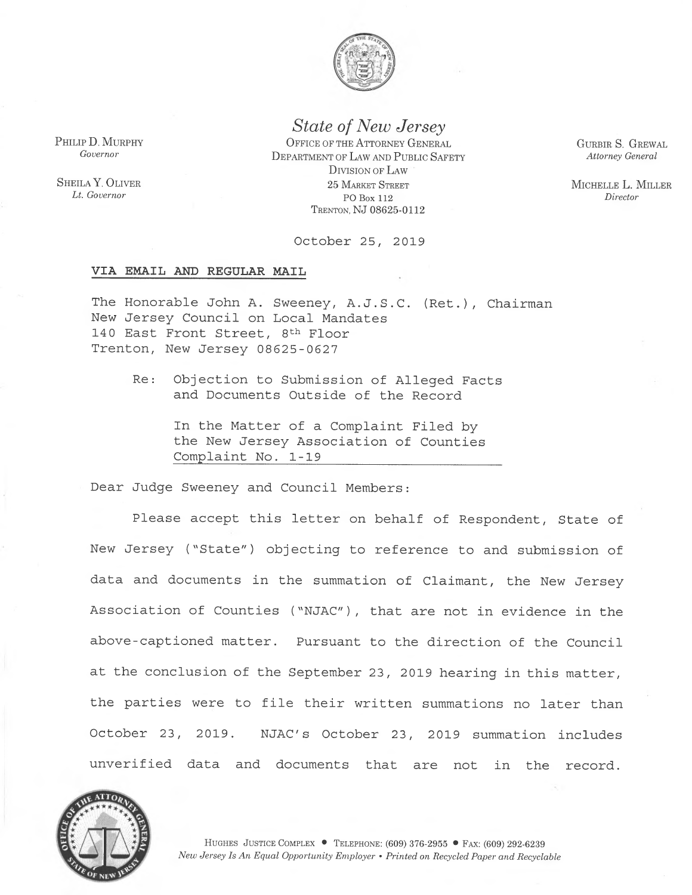

State of New Jersey

PHILIP D. MURPHY CENTRAL OFFICE OF THE ATTORNEY GENERAL Governor<br>• DEPARTMENT OF LAW AND PUBLIC SAFETY DIVISION OF LAW **SHEILA Y. OLIVER** 25 MARKET STREET Lt. Governor PO Box 112 <sup>T</sup>RENTON, NJ 08625-0112

GURBIR S. GREWAL Attorney General

MICHELLE L. MILLER Director

October 25, 2019

### VIA EMAIL AND REGULAR MAIL

<sup>T</sup>he Honorable John A. Sweeney, A.J.S.C. (Ret.), Chairman <sup>N</sup>ew Jersey Council on Local Mandates 140 East Front Street, 8<sup>th</sup> Floor Trenton, New Jersey 08625-0627

<sup>R</sup>e: Objection to Submission of Alleged Facts <sup>a</sup>nd Documents Outside of the Record

> <sup>I</sup>n the Matter of a Complaint Filed by the New Jersey Association of Counties Complaint No. 1-19

<sup>D</sup>ear Judge Sweeney and Council Members:

<sup>P</sup>lease accept this letter on behalf of Respondent, State of <sup>N</sup>ew Jersey ("State") objecting to reference to and submission of <sup>d</sup>ata and documents in the summation of Claimant, the New Jersey <sup>A</sup>ssociation of Counties ("NJAC"), that are not in evidence in the <sup>a</sup>bove-captioned matter. Pursuant to the direction of the Council <sup>a</sup>t the conclusion of the September 23, 2019 hearing in this matter, the parties were to file their written summations no later than <sup>O</sup>ctober 23, 2019. NJAC's October 23, 2019 summation includes <sup>u</sup>nverified data and documents that are not in the record.



HUGHES JUSTICE COMPLEX • TELEPHONE:  $(609)$  376-2955 • Fax:  $(609)$  292-6239 New Jersey Is An Equal Opportunity Employer • Printed on Recycled Paper and Recyclable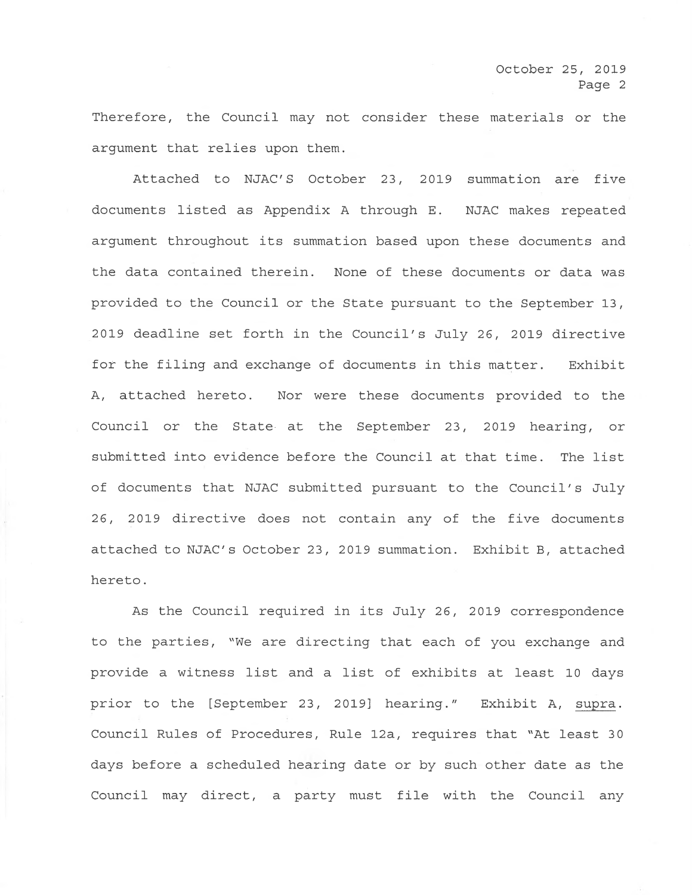Therefore, the Council may not consider these materials or the argument that relies upon them.

Attached to NJAC'S October 23, 2019 summation are five documents listed as Appendix A through E. NJAC makes repeated argument throughout its summation based upon these documents and the data contained therein. None of these documents or data was provided to the Council or the State pursuant to the September 13 , 2019 deadline set forth in the Council's July 26, 2019 directive for the filing and exchange of documents in this matter. Exhibit A, attached hereto. Nor were these documents provided to the Council or the State at the September 23, 2019 hearing, or submitted into evidence before the Council at that time. The list of documents that NJAC submitted pursuant to the Council's July 26, 2019 directive does not contain any of the five documents attached to NJAC's October 23, 2019 summation. Exhibit B, attached hereto.

As the Council required in its July 26, 2019 correspondence to the parties, "We are directing that each of you exchange and provide a witness list and a list of exhibits at least 10 days prior to the [September 23, 2019] hearing." Exhibit A, supra. Council Rules of Procedures, Rule 12a, requires that "At least 30 days before a scheduled heaving date or by such other date as the Council may direct, a party must file with the Council any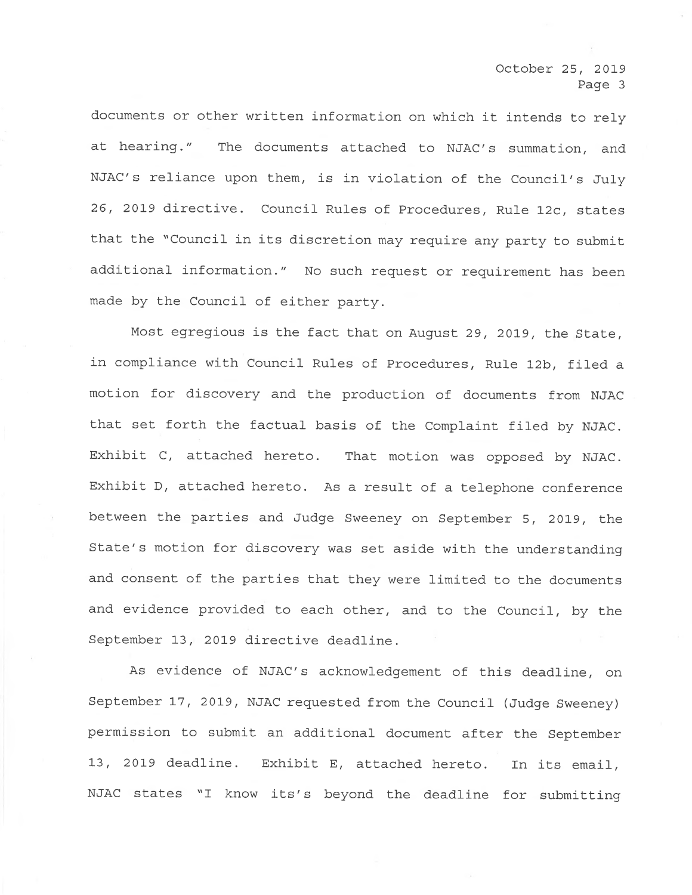<sup>d</sup>ocuments or other written information on which it intends to rely <sup>a</sup>t hearing." The documents attached to NJAC's summation, and <sup>N</sup>JAC's reliance upon them, is in violation of the Council's July <sup>2</sup>6, 2019 directive. Council Rules of Procedures, Rule 12c, states <sup>t</sup>hat the "Council in its discretion may require any party to submit <sup>a</sup>dditional information." No such request or requirement has been <sup>m</sup>ade by the Council of either party.

<sup>M</sup>ost egregious is the fact that on August 29, 2019, the State, <sup>i</sup>n compliance with Council Rules of Procedures, Rule 12b, filed <sup>a</sup> <sup>m</sup>otion for discovery and the production of documents from NJAC <sup>t</sup>hat set forth the factual basis of the Complaint filed by NJAC. <sup>E</sup>xhibit C, attached hereto. That motion was opposed by NJAC. <sup>E</sup>xhibit D, attached hereto. As a result of a telephone conference <sup>b</sup>etween the parties and Judge Sweeney on September 5, 2019, the <sup>S</sup>tate's motion for discovery was set aside with the understanding <sup>a</sup>nd consent of the parties that they were limited to the documents <sup>a</sup>nd evidence provided to each other, and to the Council, by the September 13, 2019 directive deadline.

<sup>A</sup>s evidence of NJAC's acknowledgement of this deadline, on <sup>S</sup>eptember 17, 2019, NJAC requested from the Council (Judge Sweeney) <sup>p</sup>ermission to submit an additional document after the September <sup>1</sup>3, 2019 deadline. Exhibit E, attached hereto. In its email, <sup>N</sup>JAC states "I know its's beyond the deadline for submitting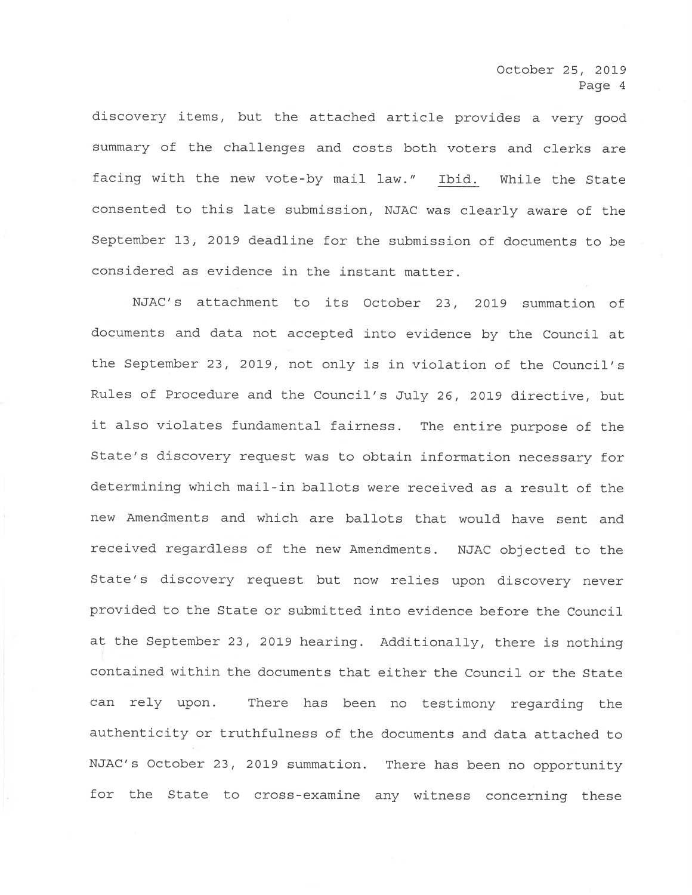discovery items, but the attached article provides a very good <sup>s</sup>ummary of the challenges and costs both voters and clerks are facing with the new vote-by mail law." Ibid. While the State <sup>c</sup>onsented to this late submission, NJAC was clearly aware of the September 13, 2019 deadline for the submission of documents to be <sup>c</sup>onsidered as evidence in the instant matter.

<sup>N</sup>JAC's attachment to its October 23, 2019 summation of documents and data not accepted into evidence by the Council at <sup>t</sup>he September 23, 2019, not only is in violation of the Council's <sup>R</sup>ules of Procedure and the Council's July 26, 2019 directive, but <sup>i</sup>t also violates fundamental fairness. The entire purpose of the <sup>S</sup>tate's discovery request was to obtain information necessary for determining which mail-in ballots were received as a result of the <sup>n</sup>ew Amendments and which are ballots that would have sent and <sup>r</sup>eceived regardless of the new Amendments. NJAC objected to the <sup>S</sup>tate's discovery request but now relies upon discovery never provided to the State or submitted into evidence before the Council <sup>a</sup>t the September 23, 2019 hearing. Additionally, there is nothing <sup>c</sup>ontained within the documents that either the Council or the State <sup>c</sup>an rely upon. There has been no testimony regarding the <sup>a</sup>uthenticity or truthfulness of the documents and data attached to <sup>N</sup>JAC's October 23, 2019 summation. There has been no opportunity <sup>f</sup>or the State to cross-examine any witness concerning these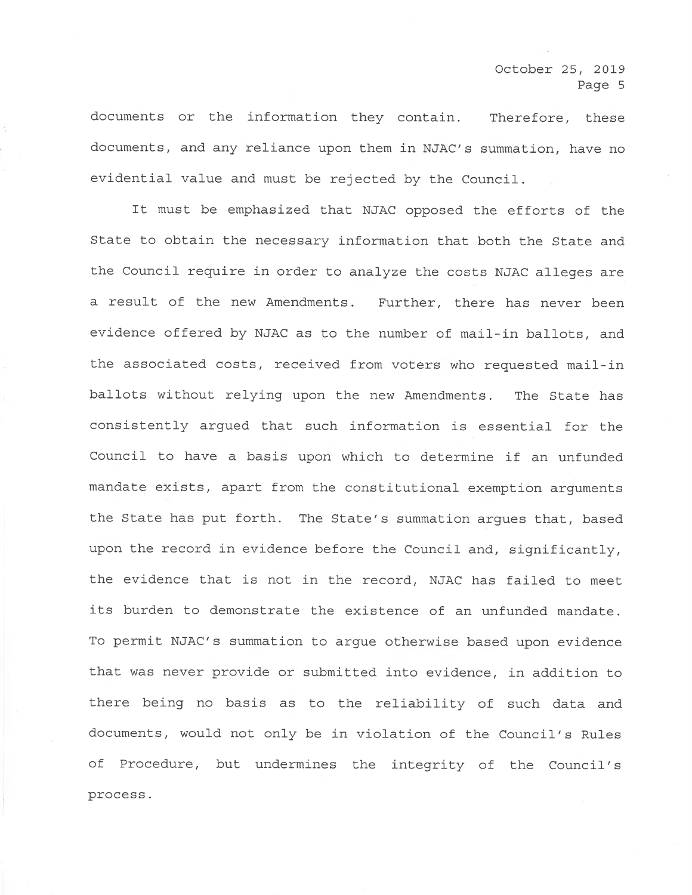documents or the information they contain. Therefore, these documents, and any reliance upon them in NJAC's summation, have no <sup>e</sup>vidential value and must be rejected by the Council.

<sup>I</sup>t must be emphasized that NJAC opposed the efforts of the State to obtain the necessary information that both the State and <sup>t</sup>he Council require in order to analyze the costs NJAC alleges are <sup>a</sup> result of the new Amendments. Further, there has never been <sup>e</sup>vidence offered by NJAC as to the number of mail-in ballots, and <sup>t</sup>he associated costs, received from voters who requested mail-in ballots without relying upon the new Amendments. The State has <sup>c</sup>onsistently argued that such information is essential for the <sup>C</sup>ouncil to have a basis upon which to determine if an unfunded <sup>m</sup>andate exists, apart from the constitutional exemption arguments <sup>t</sup>he State has put forth. The State's summation argues that, based <sup>u</sup>pon the record in evidence before the Council and, significantly, <sup>t</sup>he evidence that is not in the record, NJAC has failed to meet its burden to demonstrate the existence of an unfunded mandate. <sup>T</sup>o permit NJAC's summation to argue otherwise based upon evidence <sup>t</sup>hat was never provide or submitted into evidence, in addition to <sup>t</sup>here being no basis as to the reliability of such data and documents, would not only be in violation of the Council's Rules <sup>o</sup>f Procedure, but undermines the integrity of the Council's process.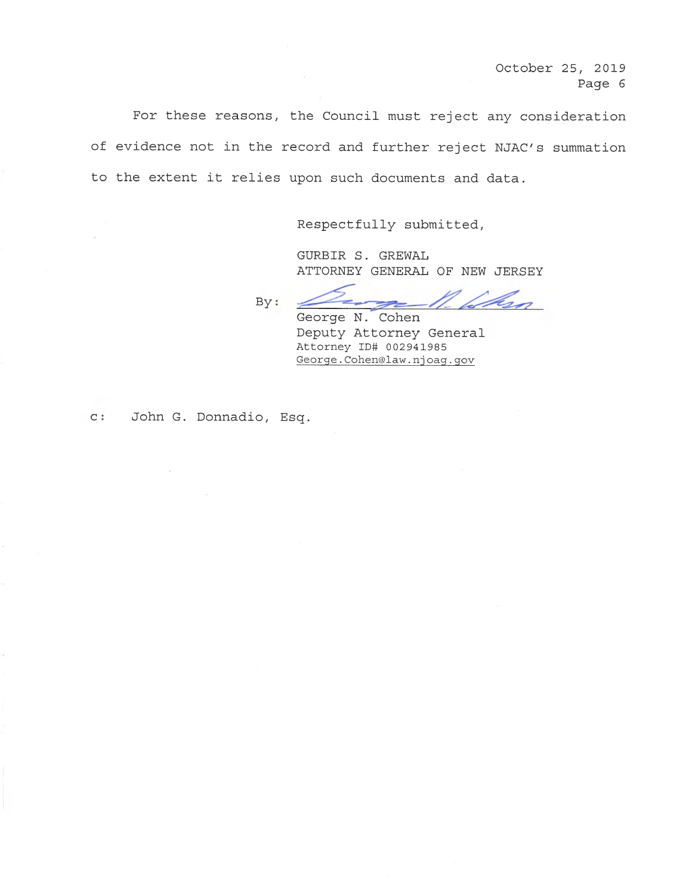For these reasons, the Council must reject any consideration of evidence not in the record and further reject NJAC's summation to the extent it relies upon such documents and data.

Respectfully submitted,

GURBIR S. GREWAL ATTORNEY GENERAL OF NEW JERSEY

<u>Inn</u> By:

George N. Cohen Deputy Attorney General Attorney ID# 002941985 George.Cohen@law.njoag.gov

c: John G. Donnadio, Esq.

 $\mathcal{L}$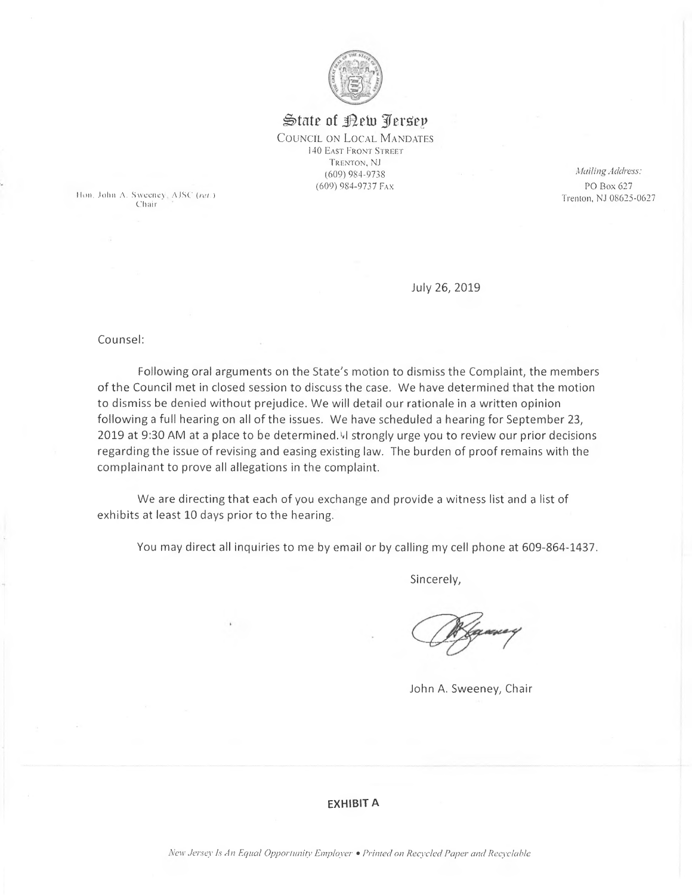

# State of <u>Pew Perse</u>y COUNCIL ON LOCAL MANDATES

140 EAST FRONT STREET TRENTON, NJ (609) 984-9738<br>(609) 984-9737 Fax

Hon. John A. Sweeney,  $AJSC$  (ret.) Chair.

Muiling Address: PO Box 627 Trenton, NJ 08625-0627

July 26, 2019

counsel:

Following oral arguments on the State's motion to dismiss the Complaint, the members of the Council mgt in closed session to discuss the case. We have determined that the motion to dismiss be denied without prejudice. We will detail our rationale in a written opinion following a full hearing on all of the issues. We have scheduled a hearing for September 23, 2019 at 9:30 AM at a place to be determined. I strongly urge you to review our prior decisions regarding the issue of revising and easing existing law. The burden of proof remains with the complainant to prove all allegations in the complaint.

We are directing that each of you exchange and provide a witness list and a list of exhibits at least 10 days prior to the hearing.

You may direct all inquiries to me by email or by calling my cell phone at 609-864-1437.

Sincerely,

 $\mathbb Z$ W <0 b

John A. Sweeney, Chair

### EXHIBIT A

New Jersey Is An Equal Opportunity Employer • Printed on Recycled Paper and Recyclable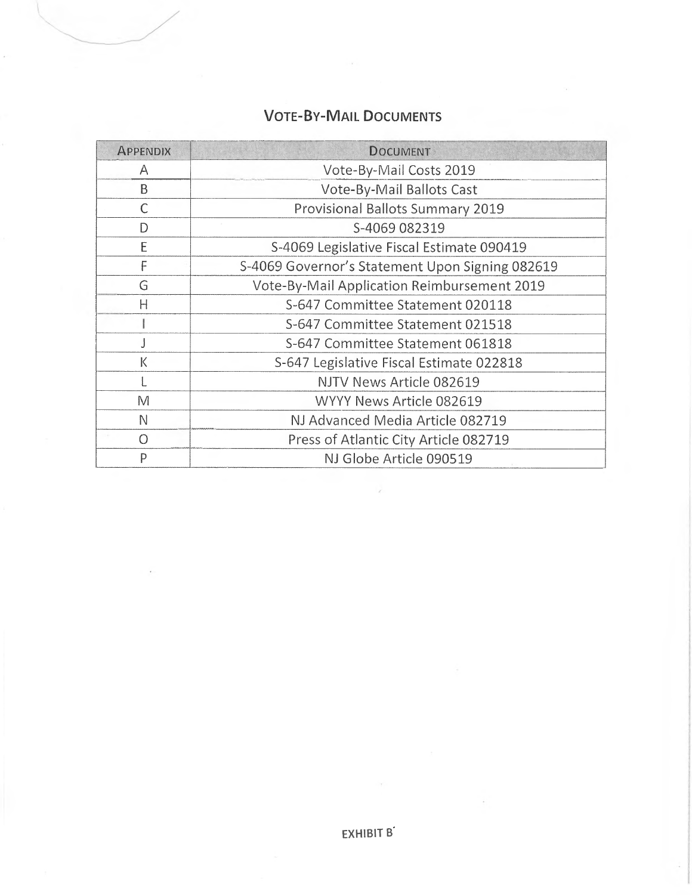# **VOTE-BY-MAIL DOCUMENTS**

| <b>APPENDIX</b> | <b>DOCUMENT</b>                                 |
|-----------------|-------------------------------------------------|
| A               | Vote-By-Mail Costs 2019                         |
| B               | Vote-By-Mail Ballots Cast                       |
| C               | Provisional Ballots Summary 2019                |
| D               | S-4069 082319                                   |
| E               | S-4069 Legislative Fiscal Estimate 090419       |
| F               | S-4069 Governor's Statement Upon Signing 082619 |
| G               | Vote-By-Mail Application Reimbursement 2019     |
| $\mathsf{H}$    | S-647 Committee Statement 020118                |
|                 | S-647 Committee Statement 021518                |
|                 | S-647 Committee Statement 061818                |
| K               | S-647 Legislative Fiscal Estimate 022818        |
|                 | NJTV News Article 082619                        |
| M               | WYYY News Article 082619                        |
| N               | NJ Advanced Media Article 082719                |
| $\Omega$        | Press of Atlantic City Article 082719           |
| $\mathsf{P}$    | NJ Globe Article 090519                         |

 $\bar{\bar{z}}$ 

EXHIBIT B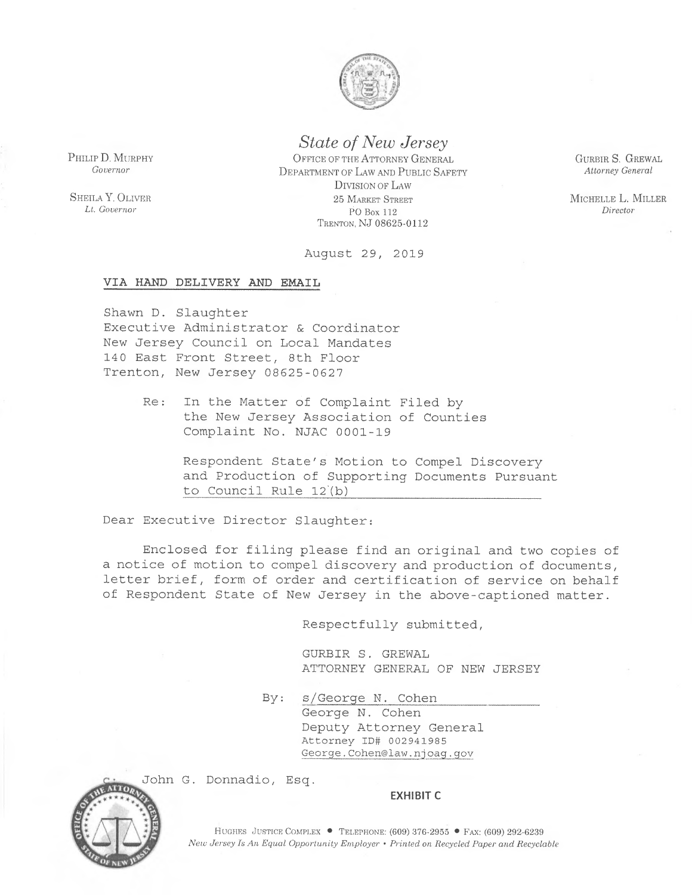

**State of New Jersey** 

OFFICE OF THE ATTORNEY GENERAL DEPARTMENT OF LAW AND PUBLIC SAFETY DIVISION OF LAW 25 MARKET STREET PO Box 112 TRENTON, NJ 08625-0112

August 29, 2019

### VIA HAND DELIVERY AND EMAIL

PHILIP D. MURPHY

Governor

SHEILA Y. OLIVER

Lt. Governor

Shawn D. Slaughter Executive Administrator & Coordinator New Jersey Council on Local Mandates 140 East Front Street, 8th Floor Trenton, New Jersey 08625-0627

> Re: In the Matter of Complaint Filed by the New Jersey Association of Counties Complaint No. NJAC 0001-19

> > Respondent State's Motion to Compel Discovery and Production of Supporting Documents Pursuant to Council Rule 12(b)

Dear Executive Director Slaughter:

Enclosed for filing please find an original and two copies of a notice of motion to compel discovery and production of documents, letter brief, form of order and certification of service on behalf of Respondent State of New Jersey in the above-captioned matter.

Respectfully submitted,

GURBIR S. GREWAL ATTORNEY GENERAL OF NEW JERSEY

By: s/George N. Cohen

George N. Cohen Deputy Attorney General Attorney ID# 002941985 George.Cohen@law.njoag.gov



John G. Donnadio, Esq.

#### **EXHIBIT C**

HUGHES JUSTICE COMPLEX • TELEPHONE: (609) 376-2955 • FAX: (609) 292-6239 New Jersey Is An Equal Opportunity Employer • Printed on Recycled Paper and Recyclable GURBIR S. GREWAL Attorney General

MICHELLE L. MILLER Director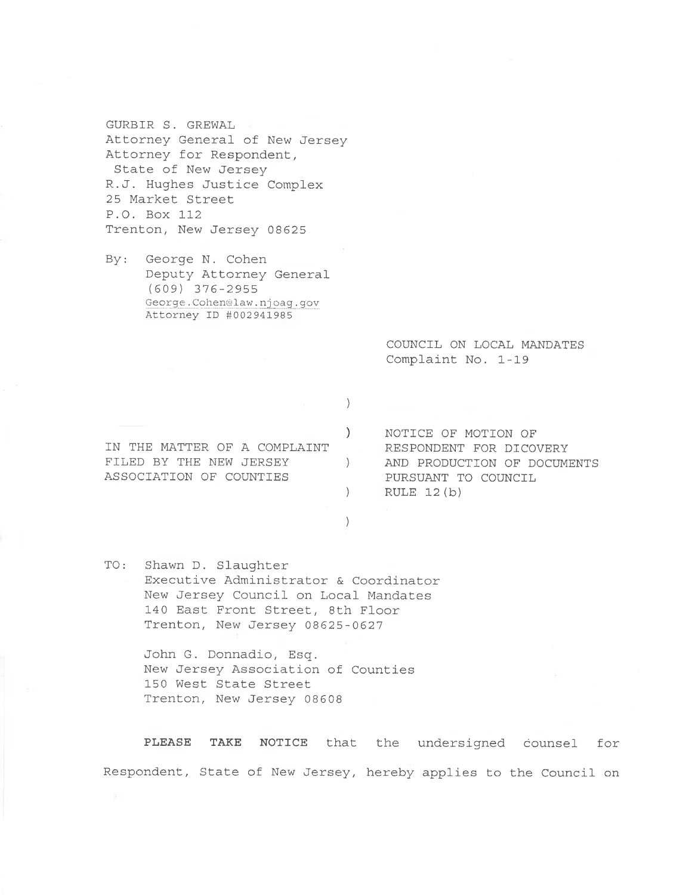GURBIR S. GREWAL Attorney General of New Jersey Attorney for Respondent, State of New Jersey R.J. Hughes Justice Complex 25 Market Street P.O. Box 112 Trenton, New Jersey 08625

George N. Cohen  $By:$ Deputy Attorney General  $(609)$  376-2955 George.Cohen@law.njoag.gov Attorney ID #002941985

> COUNCIL ON LOCAL MANDATES Complaint No. 1-19

IN THE MATTER OF A COMPLAINT FILED BY THE NEW JERSEY ASSOCIATION OF COUNTIES

NOTICE OF MOTION OF RESPONDENT FOR DICOVERY AND PRODUCTION OF DOCUMENTS PURSUANT TO COUNCIL RULE  $12(b)$ 

TO: Shawn D. Slaughter Executive Administrator & Coordinator New Jersey Council on Local Mandates 140 East Front Street, 8th Floor Trenton, New Jersey 08625-0627

> John G. Donnadio, Esq. New Jersey Association of Counties 150 West State Street Trenton, New Jersey 08608

PLEASE TAKE NOTICE that the undersigned counsel for Respondent, State of New Jersey, hereby applies to the Council on

 $\left( \right)$ 

 $\lambda$ 

 $\left( \right)$ 

 $\left( \right)$ 

 $\left\langle \right\rangle$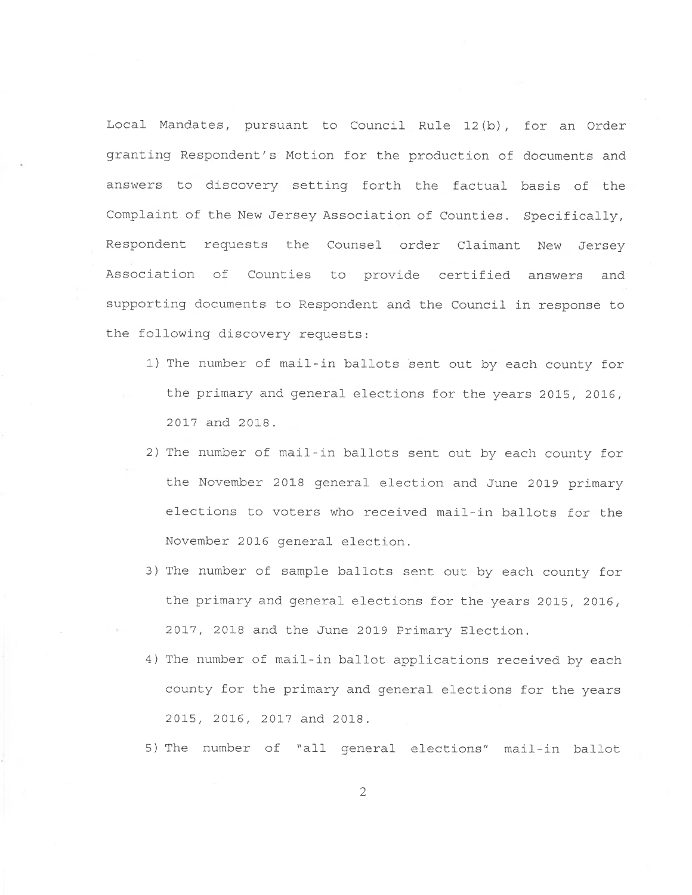Local Mandates, pursuant to Council Rule 12(b), for an Order granting Respondent's Motion for the production of documents and <sup>a</sup>nswers to discovery setting forth the factual basis of the Complaint of the New Jersey Association of Counties. Specifically, <sup>R</sup>espondent requests the Counsel order Claimant New Jersey Association of Counties to provide certified answers and supporting documents to Respondent and the Council in response to <sup>t</sup>he fallowing discovery requests:

- 1) The number of mail-in ballots sent out by each county for <sup>t</sup>he primary and general elections for the years 2015, 2016, 2017 and 2018.
- 2) The number of mail-in ballots sent out by each county for the November 2018 general election and June 2019 primary elections to voters who received mail-in ballots for the <sup>N</sup>ovember 2016 general election,
- <sup>3</sup>} The number of sample ballots sent out by each county for the primary and general elections for the years 2015, 2016, 2017, 2018 and the June 2019 Primary Election.
- <sup>4</sup>) The number of mail-in ballot applications received by each <sup>c</sup>ounty for the primary and general elections for the years 2015, 2016, 2017 and 2018.
- <sup>5</sup>} The number of "all general elections" mail-in ballot

~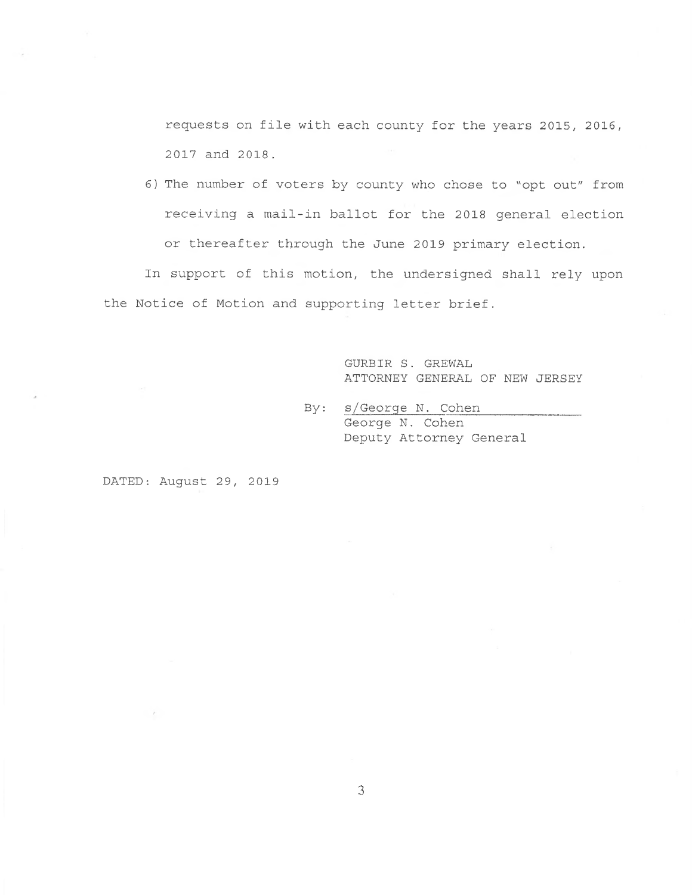requests on file with each county for the years 2015, 2016, 2017 and 2018.

6) The number of voters by county who chose to "opt out" from receiving a mail-in ballot for the 2018 general election or thereafter through the June 2019 primary election.

In support of this motion, the undersigned shall rely upon the Notice of Motion and supporting letter brief.

> GURBIR. S. GREWAL ATTORNEY GENERAL OF NEW JERSEY

By: s/George N. Cohen George N. Cohen Deputy Attorney General

DATED: August 29, 2019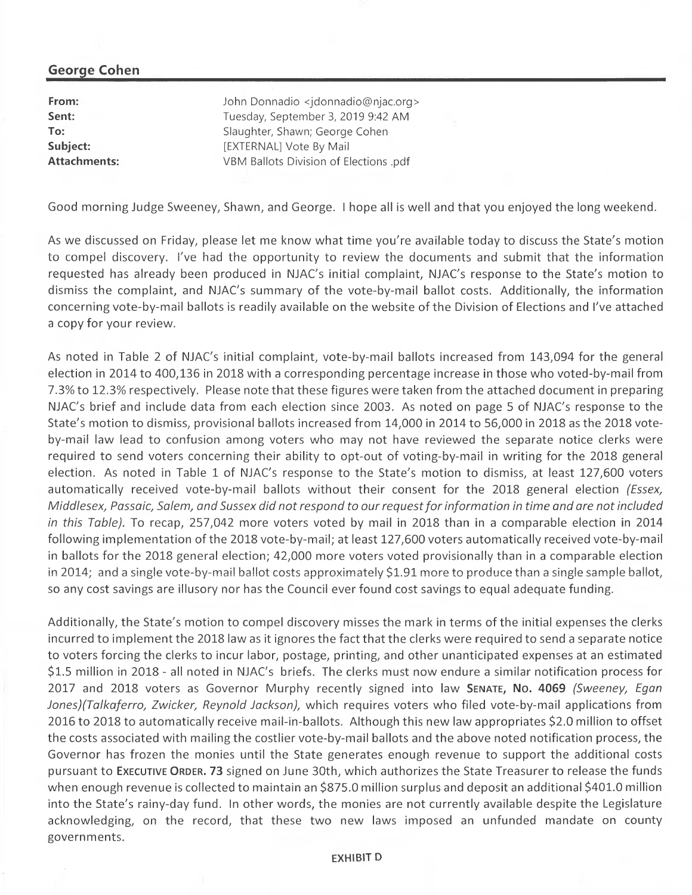# George Cohen

**From:** John Donnadio <jdonnadio@njac.org> Sent: Tuesday, September 3, 2019 9:42 AM To: Slaughter, Shawn; George Cohen Subject: [EXTERNAL] Vote By Mail Attachments: **Attachments:** VBM Ballots Division of Elections .pdf

Good morning Judge Sweeney, Shawn, and George. I hope all is well and that you enjoyed the long weekend.

As we discussed on Friday, please let me know what time you're available today to discuss the State's motion to compel discovery. I've had the opportunity to review the documents and submit that the information requested has already been produced in NJAC's initial complaint, NJAC's response to the State's motion to dismiss the complaint, and NJAC's summary of the vote-by-mail ballot costs. Additionally, the information concerning vote-by-mail ballots is readily available on the website of the Division of Elections and I've attached a copy for your review.

As noted in Table 2 of NJAC's initial complaint, vote-by-mail ballots increased from 143,094 for the general election in 2014 to 400,136 in 2018 with a corresponding percentage increase in those who voted-by-mail from 7.3% to 12.3% respectively. Please note that these figures were taken from the attached document in preparing NJAC's brief and include data from each election since 2003. As noted on page 5 of NJAC's response to the State's motion to dismiss, provisional ballots increased from 14,000 in 2014 to 56,000 in 2018 as the 2018 voteby-mail law lead to confusion among voters who may not have reviewed the separate notice clerks were required to send voters concerning their ability to opt-out of voting-by-mail in writing for the 2018 general election. As noted in Table 1 of NJAC's response to the State's motion to dismiss, at least 127,600 voters automatically received vote-by-mail ballots without their consent for the 2018 general election (Essex, Middlesex, Passaic, Salem, and Sussex did not respond to our request for information in time and are not included in this Table). To recap, 257,042 more voters voted by mail in 2018 than in a comparable election in 2014 following implementation of the 2018 vote-by-mail; at least 127,600 voters automatically received vote-by-mail in ballots for the 2018 general election; 42,000 more voters voted provisionally than in a comparable election in 2014; and a single vote-by-mail ballot costs approximately \$1.91 more to produce than a single sample ballot, so any cost savings are illusory nor has the Council ever found cost savings to equal adequate funding.

Additionally, the State's motion to compel discovery misses the mark in terms of the initial expenses the clerks incurred to implement the 2018 law as it ignores the fact that the clerks were required to send a separate notice to voters forcing the clerks to incur labor, postage, printing, and other unanticipated expenses at an estimated \$1.5 million in 2018 - all noted in NJAC's briefs. The clerks must now endure a similar notification process for 2017 and 2018 voters as Governor Murphy recently signed into law SENATE, No. 4069 (Sweeney, Egan Jones)(Talkaferro, Zwicker, Reynold Jackson), which requires voters who filed vote-by-mail applications from 2016 to 2018 to automatically receive mail-in-ballots. Although this new law appropriates \$2.0 million to offset the costs associated with mailing the costlier vote-by-mail ballots and the above noted notification process, the Governor has frozen the monies until the State generates enough revenue to support the additional costs pursuant to Executive Order. 73 signed on June 30th, which authorizes the State Treasurer to release the funds when enough revenue is collected to maintain an \$875.0 million surplus and deposit an additional \$401.0 million into the State's rainy-day fund. In other words, the monies are not currently available despite the Legislature acknowledging, on the record, that these two new laws imposed an unfunded mandate on county governments.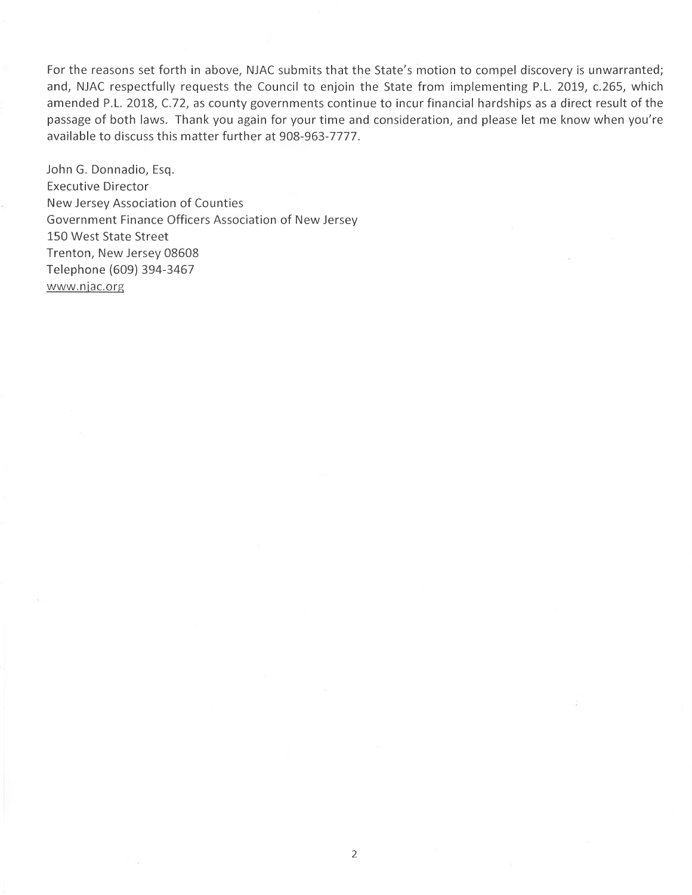For the reasons set forth in above, NJAC submits that the State's motion to compel discovery is unwarranted; and, NJAC respectfully requests the Council to enjoin the State from implementing P.L. 2019, c.265, which amended P.L. 2018, C.72, as county governments continue to incur financial hardships as a direct result of the passage of both laws. Thank you again for your time and consideration, and please let me know when you're available to discuss this matter further at 908-963-7777.

John G. Donnadio, Esq. Executive Director New Jersey Association of Counties Government Finance Officers Association of New Jersey 150 West State Street Trenton, New Jersey 08608 Telephone (609) 394-3467 www.njac.org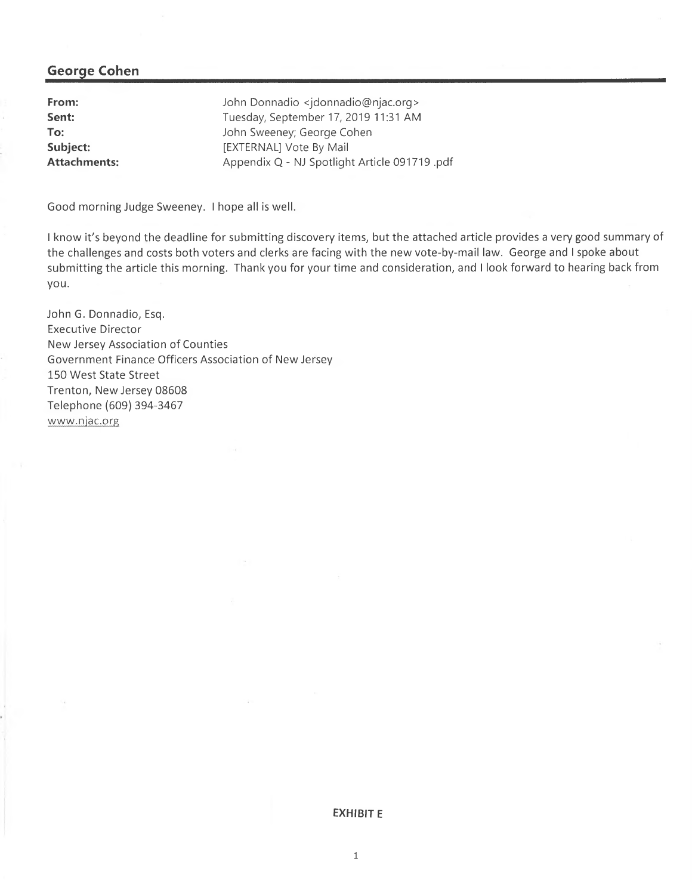## George Cohen

| From:               | John Donnadio <jdonnadio@njac.org></jdonnadio@njac.org> |
|---------------------|---------------------------------------------------------|
| Sent:               | Tuesday, September 17, 2019 11:31 AM                    |
| To:                 | John Sweeney; George Cohen                              |
| Subject:            | [EXTERNAL] Vote By Mail                                 |
| <b>Attachments:</b> | Appendix Q - NJ Spotlight Article 091719 .pdf           |

Good morning Judge Sweeney. I hope all is well.

I know it's beyond the deadline for submitting discovery items, but the attached article provides a very good summary of the challenges and costs both voters and clerks are facing with the new vote-by-mail law. George and I spoke about submitting the article this morning. Thank you for your time and consideration, and I look forward to hearing back from you.

John G. Donnadio, Esq. Executive Director New Jersey Association of Counties Government Finance Officers Association of New Jersey 150 West State Street Trenton, New Jersey 08608 Telephone (609) 394-3467 www.njac.org

EXHIBIT E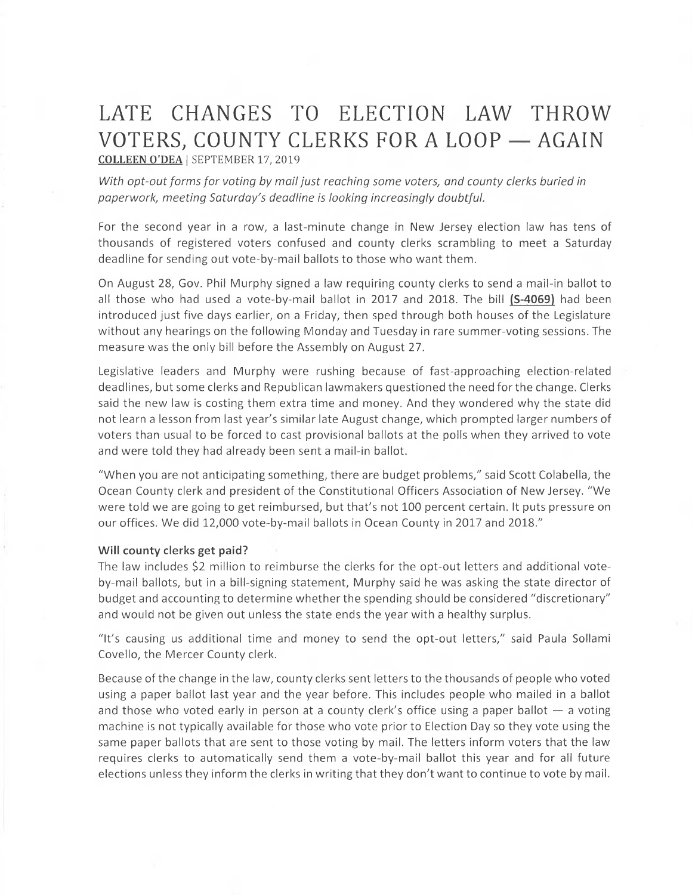# LATE CHANGES TO ELECTION LAW THROW VOTERS, COUNTY CLERKS FOR A LOOP - AGAIN COLLEEN O'DEA | SEPTEMBER 17, 2019

With opt-out forms for voting by mail just reaching some voters, and county clerks buried in paperwork, meeting Saturday's deadline is looking increasingly doubtful.

For the second year in a row, a last-minute change in New Jersey election law has tens of thousands of registered voters confused and county clerks scrambling to meet a Saturday deadline for sending out vote-by-mail ballots to those who want them.

On August 28, Gov. Phil Murphy signed a law requiring county clerks to send amail-in ballot to all those who had used a vote-by-mail ballot in  $2017$  and  $2018$ . The bill (S-4069) had been introduced just five days earlier, on a Friday, then sped through both houses of the Legislature without any hearings on the following Monday and Tuesday in rare summer-voting sessions. The measure was the only bill before the Assembly on August 27.

Legislative leaders and Murphy were rushing because of fast-approaching election-related deadlines, but some clerks and Republican lawmakers questioned the need for the change. Clerks said the new law is costing them extra time and money. And they wondered why the state did not learn a lesson from last year's similar late August change, which prompted larger numbers of voters than usual to be forced to cast provisional ballots at the polls when they arrived to vote and were told they had already been sent amail-in ballot.

"When you are not anticipating something, there are budget problems," said Scott Colabella, the Ocean County clerk and president of the Constitutional Officers Association of New Jersey. "We were told we are going to get reimbursed, but that's not 100 percent certain. It puts pressure on our offices. We did 12,000 vote-by-mail ballots in Ocean County in 2017 and 2018."

### Will county clerks get paid?

The law includes \$2 million to reimburse the clerks for the opt-out letters and additional voteby-mail ballots, but in abill-signing statement, Murphy said he was asking the state director of budget and accounting to determine whether the spending should be considered "discretionary" and would not be given out unless the state ends the year with a healthy surplus.

"It's causing us additional time and money to send the opt-out letters," said Paula Sollami Covello, the Mercer County clerk.

Because of the change in the law, county clerks sent letters to the thousands of people who voted using a paper ballot last year and the year before. This includes people who mailed in a ballot and those who voted early in person at a county clerk's office using a paper ballot  $-$  a voting machine is not typically available for those who vote prior to Election Day so they vote using the same paper ballots that are sent to those voting by mail. The letters inform voters that the law requires clerks to automatically send them avote-by-mail ballot this year and for all future elections unless they inform the clerks in writing that they don't want to continue to vote by mail.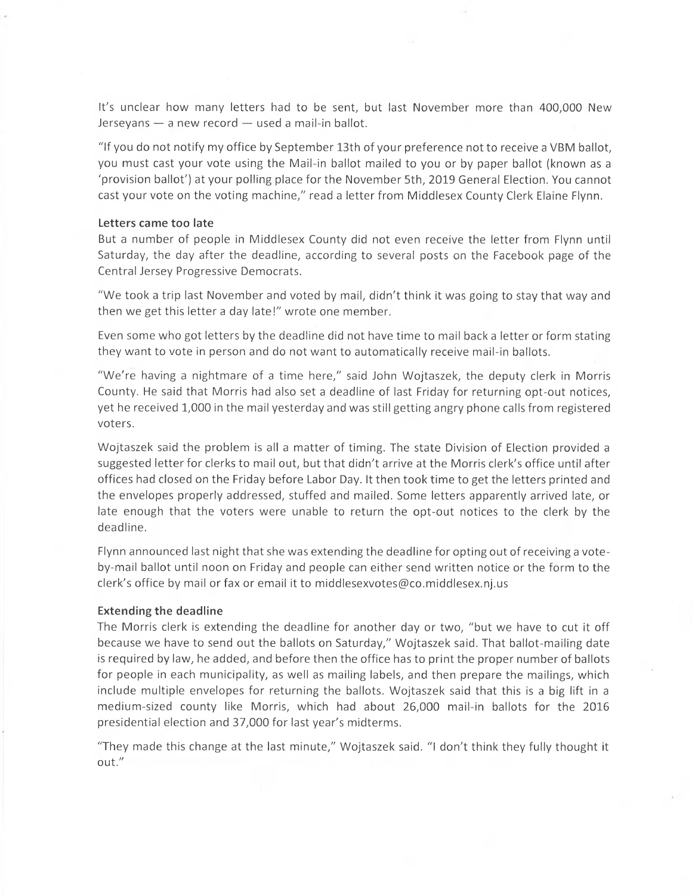It's unclear how many letters had to be sent, but last November more than 400,000 New  $Jerseyans - a$  new record  $-$  used a mail-in ballot.

"If you do not notify my office by September 13th of your preference not to receive a VBM ballot, you must cast your vote using the Mail-in ballot mailed to you or by paper ballot (known as a `provision ballot') at your polling place for the November 5th, 2019 General Election. You cannot cast your vote on the voting machine," read a letter from Middlesex County Clerk Elaine Flynn.

#### Letters came too late

But a number of people in Middlesex County did not even receive the letter from Flynn until Saturday, the day after the deadline, according to several posts on the Facebook page of the Central Jersey Progressive Democrats.

"We took a trip last November and voted by mail, didn't think it was going to stay that way and then we get this letter a day late!" wrote one member.

Even some who got letters by the deadline did not have time to mail back a letter or form stating they want to vote in person and do not want to automatically receive mail -in ballots.

"We're having a nightmare of a time here," said John Wojtaszek, the deputy clerk in Morris County. He said that Morris had also set a deadline of last Friday for returning opt-out notices, yet he received 1,000 in the mail yesterday and was still getting angry phone calls from registered voters.

Wojtaszek said the problem is all a matter of timing. The state Division of Election provided a suggested letter for clerks to mail out, but that didn't arrive at the Morris clerk's office until after offices had closed on the Friday before Labor Day. It then took time to get the letters printed and the envelopes properly addressed, stuffed and mailed. Some letters apparently arrived late, or late enough that the voters were unable to return the opt-out notices to the clerk by the deadline.

Flynn announced last night that she was extending the deadline for opting out of receiving a voteby-mail ballot until noon on Friday and people can either send written notice or the form to the clerk's office by mail or fax or email it to middlesexvotes@co.middlesex.nj.us

#### Extending the deadline

The Morris clerk is extending the deadline for another day or two, "but we have to cut it off because we have to send out the ballots on Saturday," Wojtaszek said. That ballot-mailing date is required bylaw, he added, and before then the office has to print the proper number of ballots for people in each municipality, as well as mailing labels, and then prepare the mailings, which include multiple envelopes for returning the ballots. Wojtaszek said that this is a big lift in a medium-sized county like Morris, which had about 26,000 mail-in ballots for the 2016 presidential election and 37,000 for last year's midterms.

"They made this change at the last minute," Wojtaszek said. "I don't think they fully thought it out."